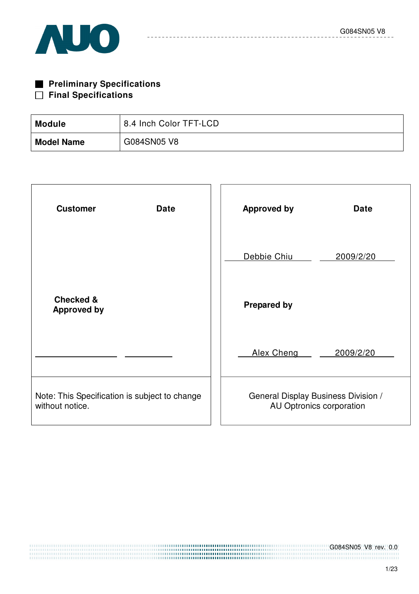

| <b>Preliminary Specifications</b> |
|-----------------------------------|
| $\Box$ Final Specifications       |

| <b>Module</b>     | 8.4 Inch Color TFT-LCD |
|-------------------|------------------------|
| <b>Model Name</b> | G084SN05 V8            |

| <b>Customer</b><br><b>Date</b>                                   | <b>Approved by</b><br><b>Date</b>                               |
|------------------------------------------------------------------|-----------------------------------------------------------------|
|                                                                  | Debbie Chiu<br>2009/2/20                                        |
| <b>Checked &amp;</b><br><b>Approved by</b>                       | <b>Prepared by</b>                                              |
|                                                                  | Alex Cheng<br>2009/2/20                                         |
| Note: This Specification is subject to change<br>without notice. | General Display Business Division /<br>AU Optronics corporation |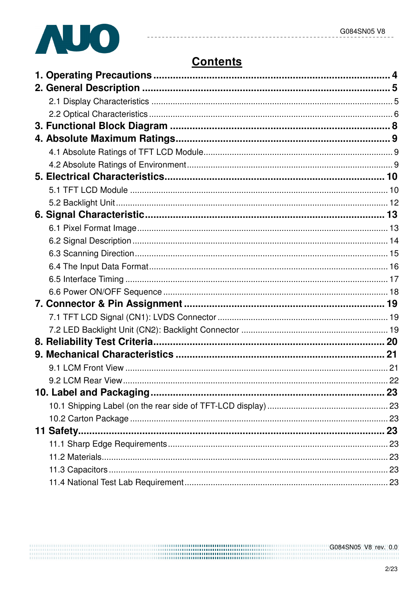

# **Contents**

 $\sim$   $\sim$ 

| 11 Safety |  |
|-----------|--|
|           |  |
|           |  |
|           |  |
|           |  |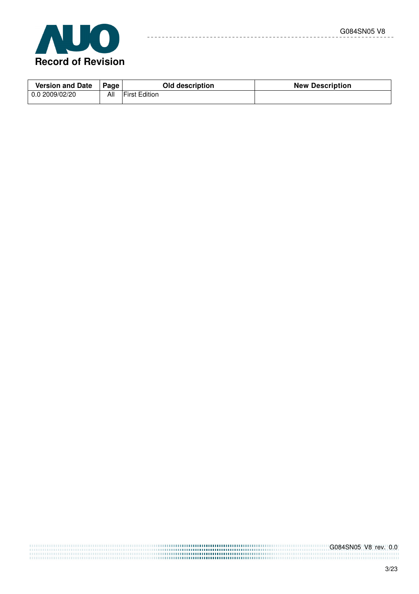

| <b>Version and Date</b> | Page | Old description      | <b>New Description</b> |
|-------------------------|------|----------------------|------------------------|
| 0.02009/02/20           | All  | <b>First Edition</b> |                        |

 $\overline{a}$ 

 $- - - - - -$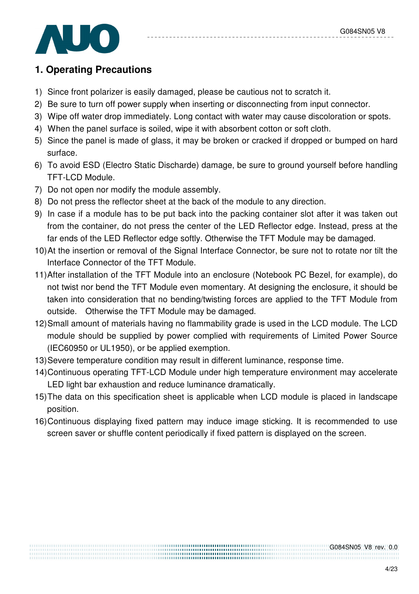

# **1. Operating Precautions**

- 1) Since front polarizer is easily damaged, please be cautious not to scratch it.
- 2) Be sure to turn off power supply when inserting or disconnecting from input connector.
- 3) Wipe off water drop immediately. Long contact with water may cause discoloration or spots.
- 4) When the panel surface is soiled, wipe it with absorbent cotton or soft cloth.
- 5) Since the panel is made of glass, it may be broken or cracked if dropped or bumped on hard surface.
- 6) To avoid ESD (Electro Static Discharde) damage, be sure to ground yourself before handling TFT-LCD Module.
- 7) Do not open nor modify the module assembly.
- 8) Do not press the reflector sheet at the back of the module to any direction.
- 9) In case if a module has to be put back into the packing container slot after it was taken out from the container, do not press the center of the LED Reflector edge. Instead, press at the far ends of the LED Reflector edge softly. Otherwise the TFT Module may be damaged.
- 10) At the insertion or removal of the Signal Interface Connector, be sure not to rotate nor tilt the Interface Connector of the TFT Module.
- 11) After installation of the TFT Module into an enclosure (Notebook PC Bezel, for example), do not twist nor bend the TFT Module even momentary. At designing the enclosure, it should be taken into consideration that no bending/twisting forces are applied to the TFT Module from outside. Otherwise the TFT Module may be damaged.
- 12) Small amount of materials having no flammability grade is used in the LCD module. The LCD module should be supplied by power complied with requirements of Limited Power Source (IEC60950 or UL1950), or be applied exemption.
- 13) Severe temperature condition may result in different luminance, response time.
- 14) Continuous operating TFT-LCD Module under high temperature environment may accelerate LED light bar exhaustion and reduce luminance dramatically.
- 15) The data on this specification sheet is applicable when LCD module is placed in landscape position.
- 16) Continuous displaying fixed pattern may induce image sticking. It is recommended to use screen saver or shuffle content periodically if fixed pattern is displayed on the screen.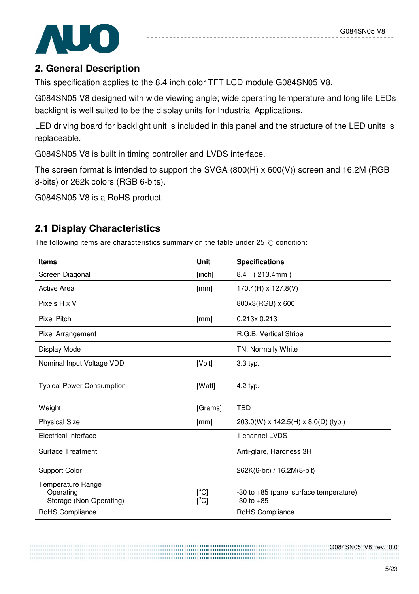

# **2. General Description**

This specification applies to the 8.4 inch color TFT LCD module G084SN05 V8.

G084SN05 V8 designed with wide viewing angle; wide operating temperature and long life LEDs backlight is well suited to be the display units for Industrial Applications.

LED driving board for backlight unit is included in this panel and the structure of the LED units is replaceable.

G084SN05 V8 is built in timing controller and LVDS interface.

The screen format is intended to support the SVGA (800(H) x 600(V)) screen and 16.2M (RGB 8-bits) or 262k colors (RGB 6-bits).

G084SN05 V8 is a RoHS product.

# **2.1 Display Characteristics**

The following items are characteristics summary on the table under 25  $\degree$ C condition:

| <b>Items</b>                                                     | <b>Unit</b>                             | <b>Specifications</b>                                    |
|------------------------------------------------------------------|-----------------------------------------|----------------------------------------------------------|
| Screen Diagonal                                                  | [inch]                                  | 8.4 (213.4mm)                                            |
| Active Area                                                      | [mm]                                    | $170.4(H) \times 127.8(V)$                               |
| Pixels H x V                                                     |                                         | 800x3(RGB) x 600                                         |
| <b>Pixel Pitch</b>                                               | [mm]                                    | 0.213x 0.213                                             |
| Pixel Arrangement                                                |                                         | R.G.B. Vertical Stripe                                   |
| Display Mode                                                     |                                         | TN, Normally White                                       |
| Nominal Input Voltage VDD                                        | [Volt]                                  | 3.3 typ.                                                 |
| <b>Typical Power Consumption</b>                                 | [Watt]                                  | 4.2 typ.                                                 |
| Weight                                                           | [Grams]                                 | <b>TBD</b>                                               |
| <b>Physical Size</b>                                             | [mm]                                    | $203.0(W) \times 142.5(H) \times 8.0(D)$ (typ.)          |
| <b>Electrical Interface</b>                                      |                                         | 1 channel LVDS                                           |
| <b>Surface Treatment</b>                                         |                                         | Anti-glare, Hardness 3H                                  |
| Support Color                                                    |                                         | 262K(6-bit) / 16.2M(8-bit)                               |
| <b>Temperature Range</b><br>Operating<br>Storage (Non-Operating) | $[^{\circ}C]$<br>$\overline{C}^{\circ}$ | -30 to +85 (panel surface temperature)<br>$-30$ to $+85$ |
| RoHS Compliance                                                  |                                         | RoHS Compliance                                          |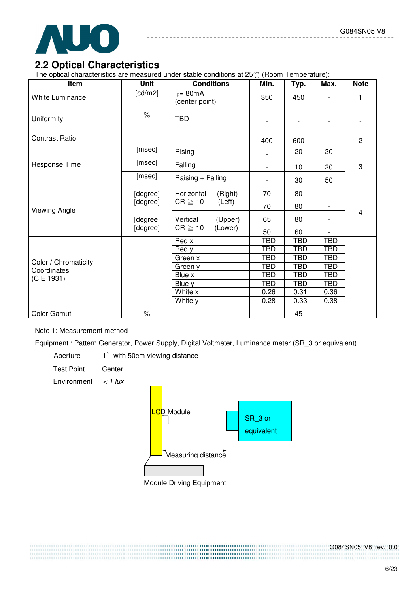

### **2.2 Optical Characteristics**

The optical characteristics are measured under stable conditions at  $25^\circ$  (Room Temperature):

| Item                   | <b>Unit</b> | <b>Conditions</b>              | Min.                     | Typ.       | Max.                     | <b>Note</b>    |
|------------------------|-------------|--------------------------------|--------------------------|------------|--------------------------|----------------|
| <b>White Luminance</b> | [ $cd/m2$ ] | $I_F = 80mA$<br>(center point) | 350                      | 450        |                          | 1              |
| Uniformity             | $\%$        | <b>TBD</b>                     | $\overline{\phantom{a}}$ |            |                          |                |
| <b>Contrast Ratio</b>  |             |                                | 400                      | 600        | $\overline{\phantom{a}}$ | $\overline{2}$ |
|                        | [msec]      | Rising                         |                          | 20         | 30                       |                |
| Response Time          | [msec]      | Falling                        | $\overline{\phantom{a}}$ | 10         | 20                       | 3              |
|                        | [msec]      | Raising + Falling              |                          | 30         | 50                       |                |
|                        | [degree]    | Horizontal<br>(Right)          | 70                       | 80         |                          |                |
| Viewing Angle          | [degree]    | $CR \geq 10$<br>(Left)         | 70                       | 80         |                          |                |
|                        | [degree]    | Vertical<br>(Upper)            | 65                       | 80         |                          | 4              |
|                        | [degree]    | $CR \geq 10$<br>(Lower)        | 50                       | 60         |                          |                |
|                        |             | Red x                          | <b>TBD</b>               | <b>TBD</b> | <b>TBD</b>               |                |
|                        |             | Red y                          | <b>TBD</b>               | <b>TBD</b> | <b>TBD</b>               |                |
| Color / Chromaticity   |             | Green x                        | <b>TBD</b>               | <b>TBD</b> | <b>TBD</b>               |                |
| Coordinates            |             | Green y                        | <b>TBD</b>               | <b>TBD</b> | <b>TBD</b>               |                |
| (CIE 1931)             |             | Blue x                         | TBD                      | TBD        | TBD                      |                |
|                        |             | Blue y                         | <b>TBD</b>               | <b>TBD</b> | <b>TBD</b>               |                |
|                        |             | White x                        | 0.26                     | 0.31       | 0.36                     |                |
|                        |             | White y                        | 0.28                     | 0.33       | 0.38                     |                |
| <b>Color Gamut</b>     | $\%$        |                                |                          | 45         | -                        |                |

#### Note 1: Measurement method

Equipment : Pattern Generator, Power Supply, Digital Voltmeter, Luminance meter (SR\_3 or equivalent)

Aperture  $1^\circ$  with 50cm viewing distance

Test Point Center

Environment  $\lt$  1 lux

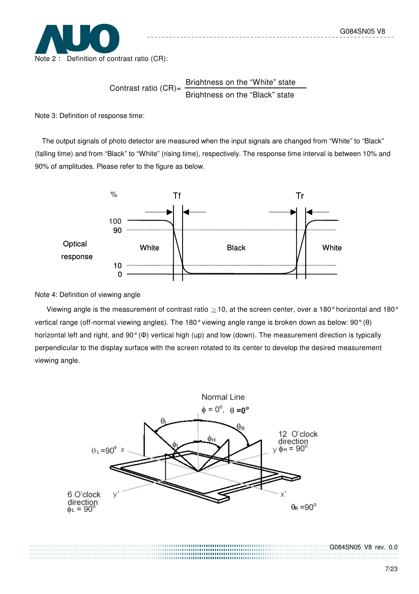

Contrast ratio  $(CR)$ = Brightness on the "White" state Brightness on the "Black" state

Note 3: Definition of response time:

The output signals of photo detector are measured when the input signals are changed from "White" to "Black" (falling time) and from "Black" to "White" (rising time), respectively. The response time interval is between 10% and 90% of amplitudes. Please refer to the figure as below.



Note 4: Definition of viewing angle

Viewing angle is the measurement of contrast ratio  $\geq$  10, at the screen center, over a 180° horizontal and 180° vertical range (off-normal viewing angles). The 180° viewing angle range is broken down as below: 90° (θ) horizontal left and right, and 90° (Φ) vertical high (up) and low (down). The measurement direction is typically perpendicular to the display surface with the screen rotated to its center to develop the desired measurement viewing angle.

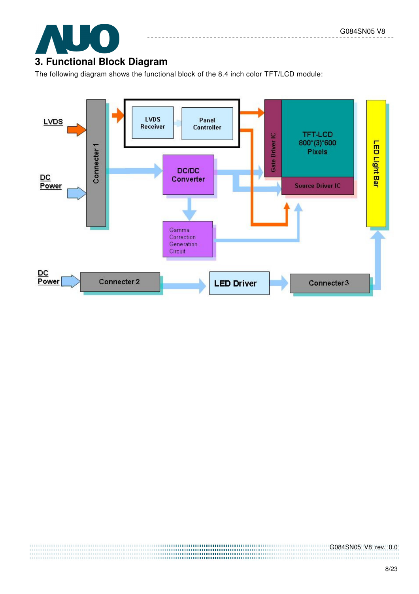

# **3. Functional Block Diagram**

The following diagram shows the functional block of the 8.4 inch color TFT/LCD module:

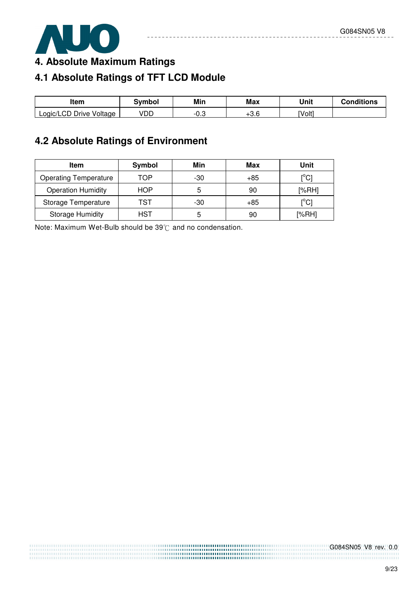

**4. Absolute Maximum Ratings** 

# **4.1 Absolute Ratings of TFT LCD Module**

| ltem                         | 3ymbol | Min  | <b>Max</b> | Unit   | Conditions |
|------------------------------|--------|------|------------|--------|------------|
| Logic/LCD Drive \<br>Voltage | VDD    | ن.∪- | റെ<br>0.ט+ | [Volt] |            |

# **4.2 Absolute Ratings of Environment**

| Item                         | Symbol     | Min | Max   | Unit                      |
|------------------------------|------------|-----|-------|---------------------------|
| <b>Operating Temperature</b> | TOP        | -30 | $+85$ | ${^{\circ}C}$             |
| <b>Operation Humidity</b>    | <b>HOP</b> | 5   | 90    | [%RH]                     |
| Storage Temperature          | TST        | -30 | $+85$ | $\mathop{\rm l}{\rm ^oC}$ |
| <b>Storage Humidity</b>      | HST        | 5   | 90    | [%RH]                     |

Note: Maximum Wet-Bulb should be  $39^{\circ}$ C and no condensation.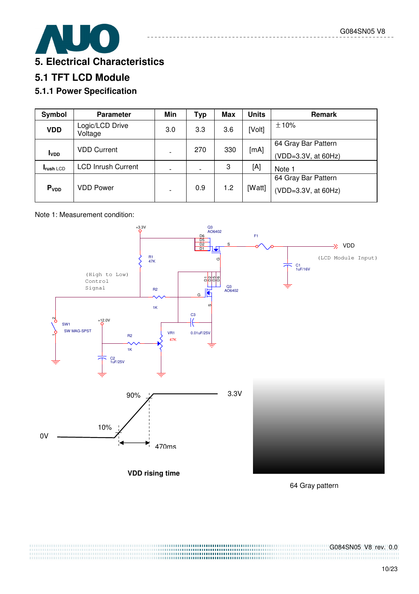

# **5.1 TFT LCD Module**

## **5.1.1 Power Specification**

| Symbol                  | <b>Parameter</b>           | Min                      | <b>Typ</b> | <b>Max</b> | <b>Units</b> | <b>Remark</b>                              |
|-------------------------|----------------------------|--------------------------|------------|------------|--------------|--------------------------------------------|
| <b>VDD</b>              | Logic/LCD Drive<br>Voltage | 3.0                      | 3.3        | 3.6        | [Volt]       | ±10%                                       |
| <b>I</b> <sub>VDD</sub> | <b>VDD Current</b>         |                          | 270        | 330        | [mA]         | 64 Gray Bar Pattern<br>(VDD=3.3V, at 60Hz) |
| <b>Irush LCD</b>        | <b>LCD Inrush Current</b>  | $\overline{\phantom{0}}$ |            | 3          | [A]          | Note 1                                     |
|                         |                            |                          |            |            |              | 64 Gray Bar Pattern                        |
| P <sub>VDD</sub>        | <b>VDD Power</b>           |                          | 0.9        | 1.2        | [Watt]       | (VDD=3.3V, at 60Hz)                        |

#### Note 1: Measurement condition:



64 Gray pattern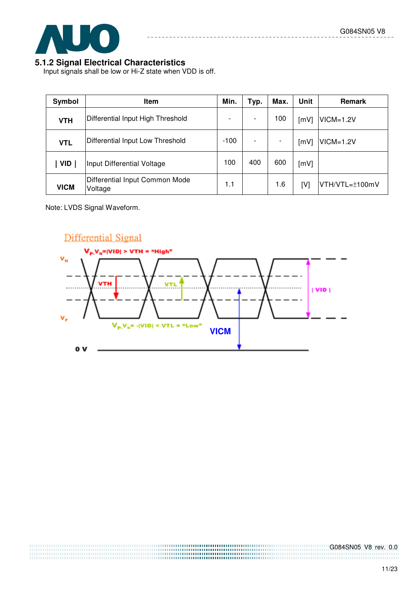

#### **5.1.2 Signal Electrical Characteristics**

Input signals shall be low or Hi-Z state when VDD is off.

| Symbol      | <b>Item</b>                               | Min.   | Typ. | Max.                     | Unit | <b>Remark</b>  |
|-------------|-------------------------------------------|--------|------|--------------------------|------|----------------|
| <b>VTH</b>  | Differential Input High Threshold         |        |      | 100                      | [mV] | $VICM=1.2V$    |
| <b>VTL</b>  | Differential Input Low Threshold          | $-100$ |      | $\overline{\phantom{a}}$ | [mV] | $VICM=1.2V$    |
| <b>VID</b>  | Input Differential Voltage                | 100    | 400  | 600                      | [mV] |                |
| <b>VICM</b> | Differential Input Common Mode<br>Voltage | 1.1    |      | 1.6                      | [V]  | VTH/VTL=±100mV |

Note: LVDS Signal Waveform.

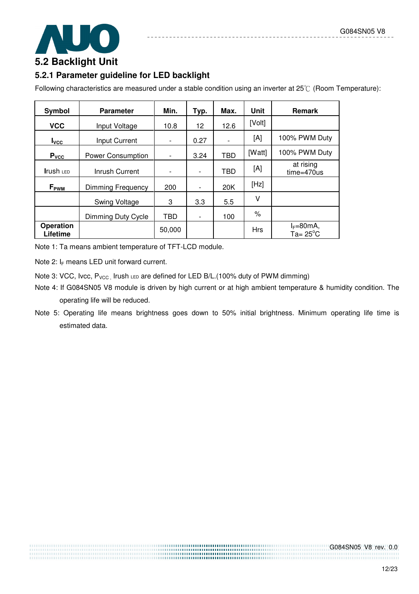

# **5.2.1 Parameter guideline for LED backlight**

Following characteristics are measured under a stable condition using an inverter at  $25^{\circ}$  (Room Temperature):

| Symbol                       | <b>Parameter</b>         | Min.                     | Typ.                     | Max. | <b>Unit</b> | <b>Remark</b>                        |
|------------------------------|--------------------------|--------------------------|--------------------------|------|-------------|--------------------------------------|
| <b>VCC</b>                   | Input Voltage            | 10.8                     | 12                       | 12.6 | [Volt]      |                                      |
| $I_{\text{VCC}}$             | Input Current            | $\overline{\phantom{0}}$ | 0.27                     |      | [A]         | 100% PWM Duty                        |
| $P_{\text{v$                 | Power Consumption        |                          | 3.24                     | TBD  | [Watt]      | 100% PWM Duty                        |
| <b>Irush LED</b>             | Inrush Current           |                          | $\overline{\phantom{a}}$ | TBD  | [A]         | at rising<br>time=470us              |
| $F_{\rm PWM}$                | <b>Dimming Frequency</b> | 200                      |                          | 20K  | [Hz]        |                                      |
|                              | Swing Voltage            | 3                        | 3.3                      | 5.5  | ٧           |                                      |
|                              | Dimming Duty Cycle       | <b>TBD</b>               | $\overline{\phantom{a}}$ | 100  | $\%$        |                                      |
| <b>Operation</b><br>Lifetime |                          | 50,000                   |                          |      | <b>Hrs</b>  | $I_F = 80mA$ ,<br>$Ta = 25^{\circ}C$ |

Note 1: Ta means ambient temperature of TFT-LCD module.

Note 2:  $I_F$  means LED unit forward current.

Note 3: VCC, Ivcc,  $P_{VCC}$ , Irush LED are defined for LED B/L.(100% duty of PWM dimming)

- Note 4: If G084SN05 V8 module is driven by high current or at high ambient temperature & humidity condition. The operating life will be reduced.
- Note 5: Operating life means brightness goes down to 50% initial brightness. Minimum operating life time is estimated data.

,,,,,,,,,,,,,,,,,,,,,,,,,,,,,,, ......................................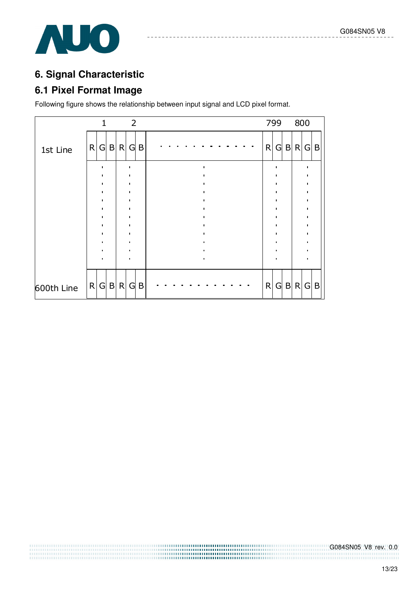

# **6. Signal Characteristic**

## **6.1 Pixel Format Image**

Following figure shows the relationship between input signal and LCD pixel format.

|            |  |       |           | $\overline{2}$ |   |  |  |  |  |  |   | 799            |              | 800 |                 |   |
|------------|--|-------|-----------|----------------|---|--|--|--|--|--|---|----------------|--------------|-----|-----------------|---|
| 1st Line   |  |       | R G B R G |                | B |  |  |  |  |  | R | $\overline{G}$ | B            | R G |                 | B |
|            |  |       |           |                |   |  |  |  |  |  |   |                |              |     |                 |   |
|            |  |       |           |                |   |  |  |  |  |  |   |                |              |     |                 |   |
|            |  |       |           |                |   |  |  |  |  |  |   |                |              |     |                 |   |
|            |  |       |           |                |   |  |  |  |  |  |   |                |              |     |                 |   |
|            |  |       |           |                |   |  |  |  |  |  |   |                |              |     |                 |   |
|            |  |       |           |                |   |  |  |  |  |  |   |                |              |     |                 |   |
| 600th Line |  | R G B | R         | $\mathsf{G}$   | B |  |  |  |  |  | R | G              | $\mathsf{B}$ | R   | $\vert G \vert$ | B |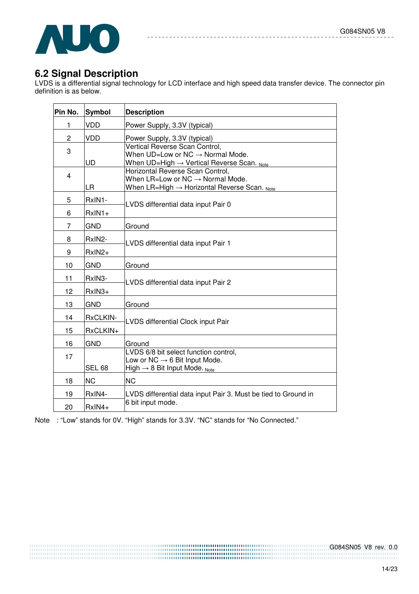

## **6.2 Signal Description**

LVDS is a differential signal technology for LCD interface and high speed data transfer device. The connector pin definition is as below.

| Pin No.         | <b>Symbol</b>          | <b>Description</b>                                                                                                                                |
|-----------------|------------------------|---------------------------------------------------------------------------------------------------------------------------------------------------|
| 1               | VDD                    | Power Supply, 3.3V (typical)                                                                                                                      |
| $\overline{2}$  | <b>VDD</b>             | Power Supply, 3.3V (typical)                                                                                                                      |
| 3               | UD                     | Vertical Reverse Scan Control,<br>When $UD=Low$ or $NC \rightarrow Normal$ Mode.<br>When $UD=High \rightarrow Vertical$ Reverse Scan. Note        |
| 4               | LR                     | Horizontal Reverse Scan Control,<br>When $LR=Low$ or $NC \rightarrow Normal$ Mode.<br>When $LR=$ High $\rightarrow$ Horizontal Reverse Scan. Note |
| 5               | RxIN1-                 | LVDS differential data input Pair 0                                                                                                               |
| 6<br>7          | $RxIN1+$<br><b>GND</b> | Ground                                                                                                                                            |
| 8<br>9          | RxIN2-<br>RxIN2+       | LVDS differential data input Pair 1                                                                                                               |
| 10              | GND                    | Ground                                                                                                                                            |
| 11              | RxIN3-                 | LVDS differential data input Pair 2                                                                                                               |
| 12 <sup>2</sup> | RxIN3+                 |                                                                                                                                                   |
| 13              | <b>GND</b>             | Ground                                                                                                                                            |
| 14              | RxCLKIN-               | LVDS differential Clock input Pair                                                                                                                |
| 15              | RxCLKIN+               |                                                                                                                                                   |
| 16              | <b>GND</b>             | Ground                                                                                                                                            |
| 17              | <b>SEL 68</b>          | LVDS 6/8 bit select function control,<br>Low or NC $\rightarrow$ 6 Bit Input Mode.<br>High $\rightarrow$ 8 Bit Input Mode. Note                   |
| 18              | <b>NC</b>              | <b>NC</b>                                                                                                                                         |
| 19              | RxIN4-                 | LVDS differential data input Pair 3. Must be tied to Ground in                                                                                    |
| 20              | RxIN4+                 | 6 bit input mode.                                                                                                                                 |

Note : "Low" stands for 0V. "High" stands for 3.3V. "NC" stands for "No Connected."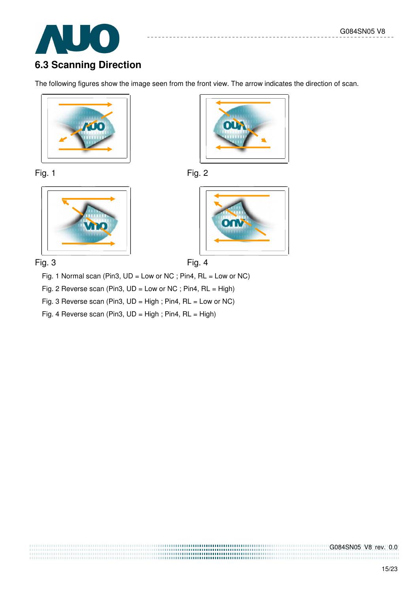

# **6.3 Scanning Direction**

The following figures show the image seen from the front view. The arrow indicates the direction of scan.













Fig. 1 Normal scan (Pin3, UD = Low or NC ; Pin4, RL = Low or NC)

Fig. 2 Reverse scan (Pin3, UD = Low or NC ; Pin4, RL = High)

Fig. 3 Reverse scan (Pin3, UD = High ; Pin4, RL = Low or NC)

Fig. 4 Reverse scan (Pin3, UD = High ; Pin4, RL = High)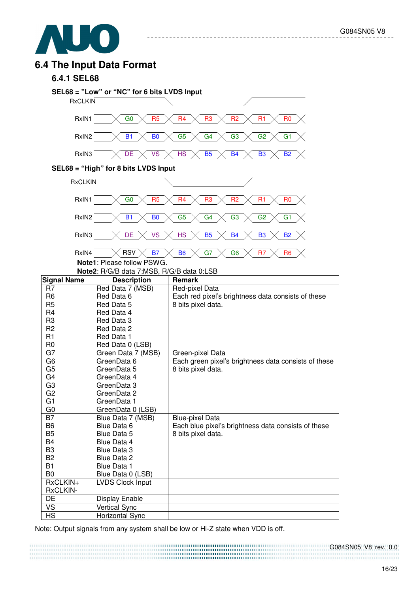

### **6.4 The Input Data Format**

#### **6.4.1 SEL68**



Note: Output signals from any system shall be low or Hi-Z state when VDD is off.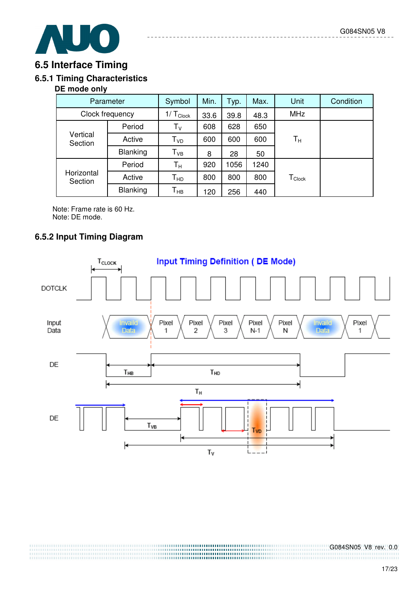

### **6.5 Interface Timing**

### **6.5.1 Timing Characteristics**

#### **DE mode only**

| Parameter             | Symbol          | Min.                      | Typ. | Max. | <b>Unit</b> | Condition                      |  |
|-----------------------|-----------------|---------------------------|------|------|-------------|--------------------------------|--|
| Clock frequency       | $1/T_{Clock}$   | 33.6                      | 39.8 | 48.3 | <b>MHz</b>  |                                |  |
| Vertical<br>Section   | Period          | $\mathsf{T}_{\mathsf{V}}$ | 608  | 628  | 650         |                                |  |
|                       | Active          | T <sub>vd</sub>           | 600  | 600  | 600         | Tн                             |  |
|                       | Blanking        | $T_{VB}$                  | 8    | 28   | 50          |                                |  |
| Horizontal<br>Section | Period          | $T_{\rm H}$               | 920  | 1056 | 1240        |                                |  |
|                       | Active          | Т <sub>нр</sub>           | 800  | 800  | 800         | ${\mathsf T}_{\mathsf{Clock}}$ |  |
|                       | <b>Blanking</b> | Т <sub>нв</sub>           | 120  | 256  | 440         |                                |  |

Note: Frame rate is 60 Hz. Note: DE mode.

### **6.5.2 Input Timing Diagram**

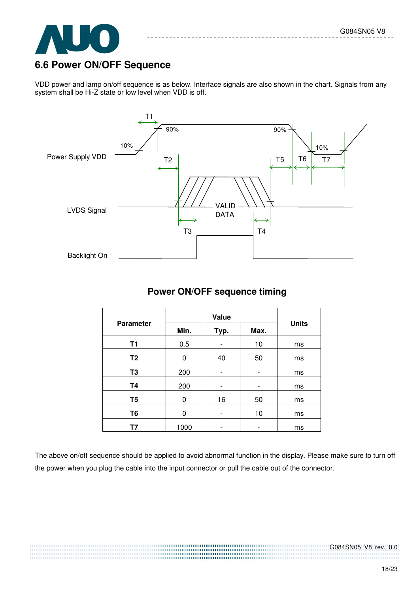

## **6.6 Power ON/OFF Sequence**

VDD power and lamp on/off sequence is as below. Interface signals are also shown in the chart. Signals from any system shall be Hi-Z state or low level when VDD is off.



#### **Power ON/OFF sequence timing**

| <b>Parameter</b> | Min. | Typ. | Max. | <b>Units</b> |  |
|------------------|------|------|------|--------------|--|
| T1               | 0.5  |      | 10   | ms           |  |
| T <sub>2</sub>   | 0    | 40   | 50   | ms           |  |
| T <sub>3</sub>   | 200  |      |      | ms           |  |
| <b>T4</b>        | 200  |      |      | ms           |  |
| T <sub>5</sub>   | 0    | 16   | 50   | ms           |  |
| T <sub>6</sub>   | O    |      | 10   | ms           |  |
| Τ7               | 1000 |      | -    | ms           |  |

The above on/off sequence should be applied to avoid abnormal function in the display. Please make sure to turn off the power when you plug the cable into the input connector or pull the cable out of the connector.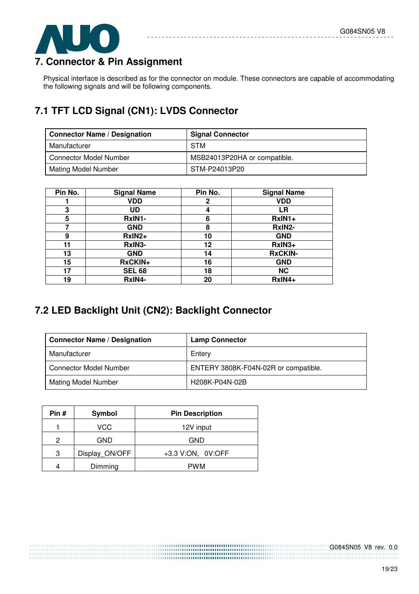

# **7. Connector & Pin Assignment**

Physical interface is described as for the connector on module. These connectors are capable of accommodating the following signals and will be following components.

# **7.1 TFT LCD Signal (CN1): LVDS Connector**

| <b>Connector Name / Designation</b> | <b>Signal Connector</b>      |
|-------------------------------------|------------------------------|
| Manufacturer                        | <b>STM</b>                   |
| <b>Connector Model Number</b>       | MSB24013P20HA or compatible. |
| Mating Model Number                 | STM-P24013P20                |

| Pin No. | <b>Signal Name</b> | Pin No.      | <b>Signal Name</b> |
|---------|--------------------|--------------|--------------------|
|         | <b>VDD</b>         | $\mathbf{2}$ | <b>VDD</b>         |
| 3       | UD                 | 4            | LR                 |
| 5       | RxIN1-             | 6            | RxIN1+             |
|         | <b>GND</b>         | 8            | RxIN2-             |
| 9       | RxIN2+             | 10           | <b>GND</b>         |
| 11      | RxIN3-             | 12           | RxIN3+             |
| 13      | <b>GND</b>         | 14           | <b>RxCKIN-</b>     |
| 15      | RxCKIN+            | 16           | <b>GND</b>         |
| 17      | <b>SEL 68</b>      | 18           | <b>NC</b>          |
| 19      | RxIN4-             | 20           | RxIN4+             |

# **7.2 LED Backlight Unit (CN2): Backlight Connector**

| <b>Connector Name / Designation</b> | <b>Lamp Connector</b>                |
|-------------------------------------|--------------------------------------|
| Manufacturer                        | Entery                               |
| <b>Connector Model Number</b>       | ENTERY 3808K-F04N-02R or compatible. |
| <b>Mating Model Number</b>          | H208K-P04N-02B                       |

| Pin# | Symbol         | <b>Pin Description</b> |
|------|----------------|------------------------|
|      | VCC            | 12V input              |
| 2    | GND            | <b>GND</b>             |
| 3    | Display ON/OFF | +3.3 V:ON, 0V:OFF      |
|      | Dimming        | <b>PWM</b>             |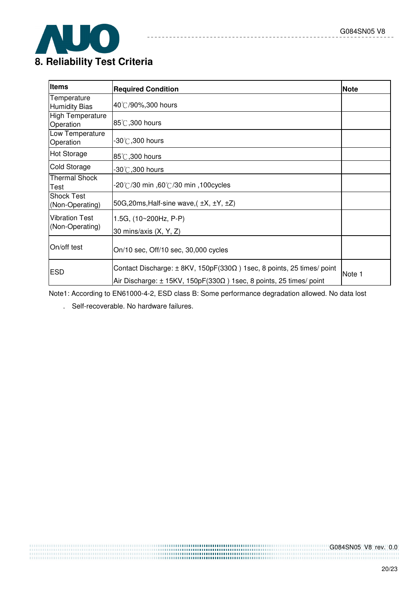

# **8. Reliability Test Criteria**

| <b>Items</b>                         | <b>Required Condition</b>                                                                                                                                             | <b>Note</b> |
|--------------------------------------|-----------------------------------------------------------------------------------------------------------------------------------------------------------------------|-------------|
| Temperature<br><b>Humidity Bias</b>  | 40°C/90%,300 hours                                                                                                                                                    |             |
| <b>High Temperature</b><br>Operation | $ 85^\circ\text{\textcirc}$ ,300 hours                                                                                                                                |             |
| Low Temperature<br>Operation         | $-30^{\circ}$ C,300 hours                                                                                                                                             |             |
| <b>Hot Storage</b>                   | 85°C,300 hours                                                                                                                                                        |             |
| Cold Storage                         | $-30^{\circ}$ C,300 hours                                                                                                                                             |             |
| <b>Thermal Shock</b><br>Test         | .20℃/30 min ,60℃/30 min ,100cycles                                                                                                                                    |             |
| <b>Shock Test</b><br>(Non-Operating) | 50G, 20ms, Half-sine wave, $(\pm X, \pm Y, \pm Z)$                                                                                                                    |             |
| <b>Vibration Test</b>                | 1.5G, (10~200Hz, P-P)                                                                                                                                                 |             |
| (Non-Operating)                      | 30 mins/axis (X, Y, Z)                                                                                                                                                |             |
| On/off test                          | On/10 sec, Off/10 sec, 30,000 cycles                                                                                                                                  |             |
| <b>ESD</b>                           | Contact Discharge: $\pm$ 8KV, 150pF(330 $\Omega$ ) 1sec, 8 points, 25 times/ point<br>Air Discharge: $\pm$ 15KV, 150pF(330 $\Omega$ ) 1sec, 8 points, 25 times/ point | Note 1      |

 $- - - - - -$ 

 $\sim$   $\sim$ 

Note1: According to EN61000-4-2, ESD class B: Some performance degradation allowed. No data lost

. Self-recoverable. No hardware failures.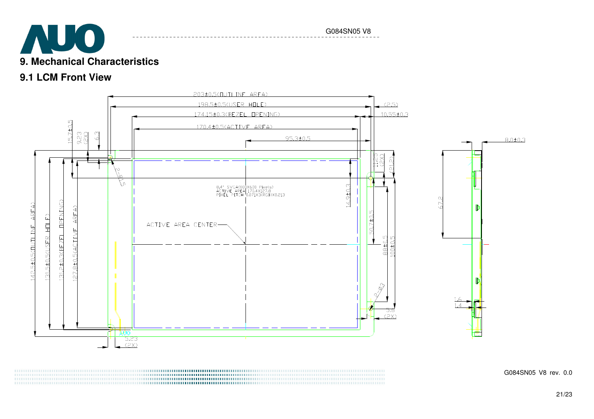

## **9.1 LCM Front View**



a a componente de compositor de componente de componente de compositor de componente de componente de componen 

G084SN05 V8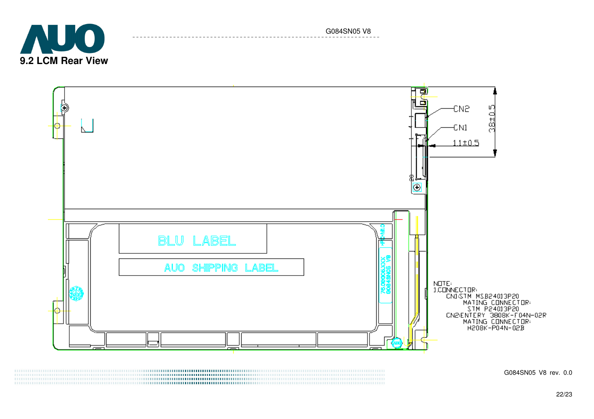



G084SN05 V8